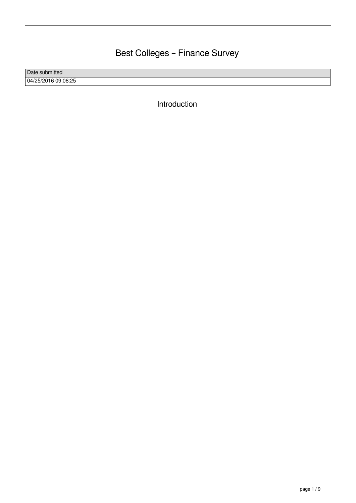# Best Colleges – Finance Survey

Date submitted 04/25/2016 09:08:25

Introduction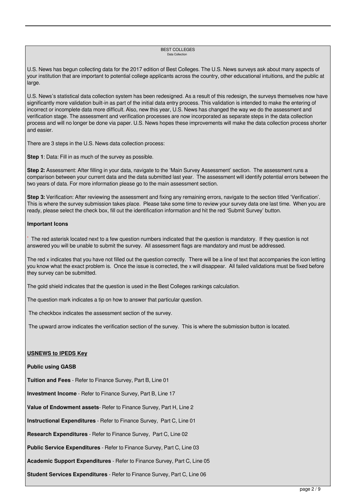#### BEST COLLEGES Data Collection

U.S. News has begun collecting data for the 2017 edition of Best Colleges. The U.S. News surveys ask about many aspects of your institution that are important to potential college applicants across the country, other educational intuitions, and the public at large.

U.S. News's statistical data collection system has been redesigned. As a result of this redesign, the surveys themselves now have significantly more validation built-in as part of the initial data entry process. This validation is intended to make the entering of incorrect or incomplete data more difficult. Also, new this year, U.S. News has changed the way we do the assessment and verification stage. The assessment and verification processes are now incorporated as separate steps in the data collection process and will no longer be done via paper. U.S. News hopes these improvements will make the data collection process shorter and easier.

There are 3 steps in the U.S. News data collection process:

**Step 1**: Data: Fill in as much of the survey as possible.

**Step 2:** Assessment: After filling in your data, navigate to the 'Main Survey Assessment' section. The assessment runs a comparison between your current data and the data submitted last year. The assessment will identify potential errors between the two years of data. For more information please go to the main assessment section.

**Step 3:** Verification: After reviewing the assessment and fixing any remaining errors, navigate to the section titled 'Verification'. This is where the survey submission takes place. Please take some time to review your survey data one last time. When you are ready, please select the check box, fill out the identification information and hit the red 'Submit Survey' button.

#### **Important Icons**

\* The red asterisk located next to a few question numbers indicated that the question is mandatory. If they question is not answered you will be unable to submit the survey. All assessment flags are mandatory and must be addressed.

The red x indicates that you have not filled out the question correctly. There will be a line of text that accompanies the icon letting you know what the exact problem is. Once the issue is corrected, the x will disappear. All failed validations must be fixed before they survey can be submitted.

The gold shield indicates that the question is used in the Best Colleges rankings calculation.

The question mark indicates a tip on how to answer that particular question.

The checkbox indicates the assessment section of the survey.

The upward arrow indicates the verification section of the survey. This is where the submission button is located.

#### **USNEWS to IPEDS Key**

#### **Public using GASB**

**Tuition and Fees** - Refer to Finance Survey, Part B, Line 01

**Investment Income** - Refer to Finance Survey, Part B, Line 17

**Value of Endowment assets**- Refer to Finance Survey, Part H, Line 2

**Instructional Expenditures** - Refer to Finance Survey, Part C, Line 01

**Research Expenditures** - Refer to Finance Survey, Part C, Line 02

**Public Service Expenditures** - Refer to Finance Survey, Part C, Line 03

**Academic Support Expenditures** - Refer to Finance Survey, Part C, Line 05

**Student Services Expenditures** - Refer to Finance Survey, Part C, Line 06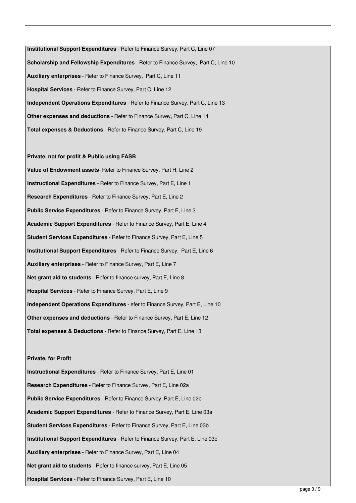**Institutional Support Expenditures** - Refer to Finance Survey, Part C, Line 07 **Scholarship and Fellowship Expenditures** - Refer to Finance Survey, Part C, Line 10 **Auxiliary enterprises** - Refer to Finance Survey, Part C, Line 11 **Hospital Services** - Refer to Finance Survey, Part C, Line 12 **Independent Operations Expenditures** - Refer to Finance Survey, Part C, Line 13 **Other expenses and deductions** - Refer to Finance Survey, Part C, Line 14 **Total expenses & Deductions** - Refer to Finance Survey, Part C, Line 19

#### **Private, not for profit & Public using FASB**

**Value of Endowment assets**- Refer to Finance Survey, Part H, Line 2 **Instructional Expenditures** - Refer to Finance Survey, Part E, Line 1 **Research Expenditures** - Refer to Finance Survey, Part E, Line 2 **Public Service Expenditures** - Refer to Finance Survey, Part E, Line 3 **Academic Support Expenditures** - Refer to Finance Survey, Part E, Line 4 **Student Services Expenditures** - Refer to Finance Survey, Part E, Line 5 **Institutional Support Expenditures** - Refer to Finance Survey, Part E, Line 6 **Auxiliary enterprises** - Refer to Finance Survey, Part E, Line 7 **Net grant aid to students** - Refer to finance survey, Part E, Line 8 **Hospital Services** - Refer to Finance Survey, Part E, Line 9 **Independent Operations Expenditures** - efer to Finance Survey, Part E, Line 10 **Other expenses and deductions** - Refer to Finance Survey, Part E, Line 12 **Total expenses & Deductions** - Refer to Finance Survey, Part E, Line 13

#### **Private, for Profit**

**Instructional Expenditures** - Refer to Finance Survey, Part E, Line 01 **Research Expenditures** - Refer to Finance Survey, Part E, Line 02a **Public Service Expenditures** - Refer to Finance Survey, Part E, Line 02b **Academic Support Expenditures** - Refer to Finance Survey, Part E, Line 03a **Student Services Expenditures** - Refer to Finance Survey, Part E, Line 03b **Institutional Support Expenditures** - Refer to Finance Survey, Part E, Line 03c **Auxiliary enterprises** - Refer to Finance Survey, Part E, Line 04 **Net grant aid to students** - Refer to finance survey, Part E, Line 05 **Hospital Services** - Refer to Finance Survey, Part E, Line 10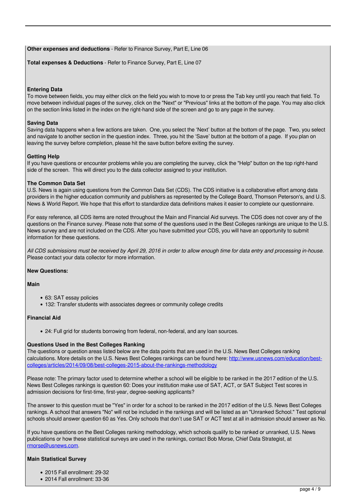#### **Other expenses and deductions** - Refer to Finance Survey, Part E, Line 06

**Total expenses & Deductions** - Refer to Finance Survey, Part E, Line 07

#### **Entering Data**

To move between fields, you may either click on the field you wish to move to or press the Tab key until you reach that field. To move between individual pages of the survey, click on the "Next" or "Previous" links at the bottom of the page. You may also click on the section links listed in the index on the right-hand side of the screen and go to any page in the survey.

#### **Saving Data**

Saving data happens when a few actions are taken. One, you select the 'Next' button at the bottom of the page. Two, you select and navigate to another section in the question index. Three, you hit the 'Save' button at the bottom of a page. If you plan on leaving the survey before completion, please hit the save button before exiting the survey.

#### **Getting Help**

If you have questions or encounter problems while you are completing the survey, click the "Help" button on the top right-hand side of the screen. This will direct you to the data collector assigned to your institution.

#### **The Common Data Set**

U.S. News is again using questions from the Common Data Set (CDS). The CDS initiative is a collaborative effort among data providers in the higher education community and publishers as represented by the College Board, Thomson Peterson's, and U.S. News & World Report. We hope that this effort to standardize data definitions makes it easier to complete our questionnaire.

For easy reference, all CDS items are noted throughout the Main and Financial Aid surveys. The CDS does not cover any of the questions on the Finance survey. Please note that some of the questions used in the Best Colleges rankings are unique to the U.S. News survey and are not included on the CDS. After you have submitted your CDS, you will have an opportunity to submit information for these questions.

*All CDS submissions must be received by April 29, 2016 in order to allow enough time for data entry and processing in-house.* Please contact your data collector for more information.

#### **New Questions:**

**Main**

- 63: SAT essay policies
- 132: Transfer students with associates degrees or community college credits

#### **Financial Aid**

24: Full grid for students borrowing from federal, non-federal, and any loan sources.

#### **Questions Used in the Best Colleges Ranking**

The questions or question areas listed below are the data points that are used in the U.S. News Best Colleges ranking calculations. More details on the U.S. News Best Colleges rankings can be found here: [http://www.usnews.com/education/best](http://www.usnews.com/education/best-colleges/articles/2014/09/08/best-colleges-2015-about-the-rankings-methodology)[colleges/articles/2014/09/08/best-colleges-2015-about-the-rankings-methodology](http://www.usnews.com/education/best-colleges/articles/2014/09/08/best-colleges-2015-about-the-rankings-methodology)

Please note: The primary factor used to determine whether a school will be eligible to be ranked in the 2017 edition of the U.S. News Best Colleges rankings is question 60: Does your institution make use of SAT, ACT, or SAT Subject Test scores in admission decisions for first-time, first-year, degree-seeking applicants?

The answer to this question must be "Yes" in order for a school to be ranked in the 2017 edition of the U.S. News Best Colleges rankings. A school that answers "No" will not be included in the rankings and will be listed as an "Unranked School." Test optional schools should answer question 60 as Yes. Only schools that don't use SAT or ACT test at all in admission should answer as No.

If you have questions on the Best Colleges ranking methodology, which schools qualify to be ranked or unranked, U.S. News publications or how these statistical surveys are used in the rankings, contact Bob Morse, Chief Data Strategist, at [rmorse@usnews.com.](mailto:rmorse@usnews.com)

#### **Main Statistical Survey**

- 2015 Fall enrollment: 29-32
- 2014 Fall enrollment: 33-36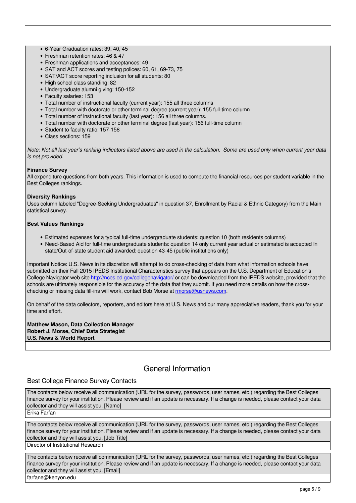- 6-Year Graduation rates: 39, 40, 45
- Freshman retention rates: 46 & 47
- Freshman applications and acceptances: 49
- SAT and ACT scores and testing polices: 60, 61, 69-73, 75
- SAT/ACT score reporting inclusion for all students: 80
- High school class standing: 82
- Undergraduate alumni giving: 150-152
- Faculty salaries: 153
- Total number of instructional faculty (current year): 155 all three columns
- Total number with doctorate or other terminal degree (current year): 155 full-time column
- Total number of instructional faculty (last year): 156 all three columns.
- Total number with doctorate or other terminal degree (last year): 156 full-time column
- Student to faculty ratio: 157-158
- Class sections: 159

*Note: Not all last year's ranking indicators listed above are used in the calculation. Some are used only when current year data is not provided.*

#### **Finance Survey**

All expenditure questions from both years. This information is used to compute the financial resources per student variable in the Best Colleges rankings.

#### **Diversity Rankings**

Uses column labeled "Degree-Seeking Undergraduates" in question 37, Enrollment by Racial & Ethnic Category) from the Main statistical survey.

#### **Best Values Rankings**

- Estimated expenses for a typical full-time undergraduate students: question 10 (both residents columns)
- Need-Based Aid for full-time undergraduate students: question 14 only current year actual or estimated is accepted In state/Out-of-state student aid awarded: question 43-45 (public institutions only)

Important Notice: U.S. News in its discretion will attempt to do cross-checking of data from what information schools have submitted on their Fall 2015 IPEDS Institutional Characteristics survey that appears on the U.S. Department of Education's College Navigator web site<http://nces.ed.gov/collegenavigator/> or can be downloaded from the IPEDS website, provided that the schools are ultimately responsible for the accuracy of the data that they submit. If you need more details on how the crosschecking or missing data fill-ins will work, contact Bob Morse at **rmorse@usnews.com**.

On behalf of the data collectors, reporters, and editors here at U.S. News and our many appreciative readers, thank you for your time and effort.

**Matthew Mason, Data Collection Manager Robert J. Morse, Chief Data Strategist U.S. News & World Report** 

### General Information

#### Best College Finance Survey Contacts

The contacts below receive all communication (URL for the survey, passwords, user names, etc.) regarding the Best Colleges finance survey for your institution. Please review and if an update is necessary. If a change is needed, please contact your data collector and they will assist you. [Name] Erika Farfan

The contacts below receive all communication (URL for the survey, passwords, user names, etc.) regarding the Best Colleges finance survey for your institution. Please review and if an update is necessary. If a change is needed, please contact your data collector and they will assist you. [Job Title]

### Director of Institutional Research

The contacts below receive all communication (URL for the survey, passwords, user names, etc.) regarding the Best Colleges finance survey for your institution. Please review and if an update is necessary. If a change is needed, please contact your data collector and they will assist you. [Email]

farfane@kenyon.edu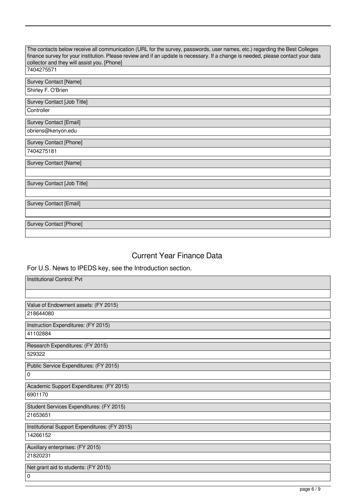The contacts below receive all communication (URL for the survey, passwords, user names, etc.) regarding the Best Colleges finance survey for your institution. Please review and if an update is necessary. If a change is needed, please contact your data collector and they will assist you. [Phone] 7404275571 Survey Contact [Name] Shirley F. O'Brien Survey Contact [Job Title] **Controller** Survey Contact [Email] obriens@kenyon.edu Survey Contact [Phone] 7404275181 Survey Contact [Name] Survey Contact [Job Title] Survey Contact [Email]

Survey Contact [Phone]

## Current Year Finance Data

### For U.S. News to IPEDS key, see the Introduction section.

| Institutional Control: Pvt                    |
|-----------------------------------------------|
|                                               |
| Value of Endowment assets: (FY 2015)          |
| 218644080                                     |
| Instruction Expenditures: (FY 2015)           |
| 41102884                                      |
| Research Expenditures: (FY 2015)              |
| 529322                                        |
| Public Service Expenditures: (FY 2015)        |
| ⊺o                                            |
| Academic Support Expenditures: (FY 2015)      |
| 6901170                                       |
| Student Services Expenditures: (FY 2015)      |
| 21653651                                      |
| Institutional Support Expenditures: (FY 2015) |
| 14266152                                      |
| Auxiliary enterprises: (FY 2015)              |
| 21820231                                      |
| Net grant aid to students: (FY 2015)          |
| ⊺o                                            |
| 0.10                                          |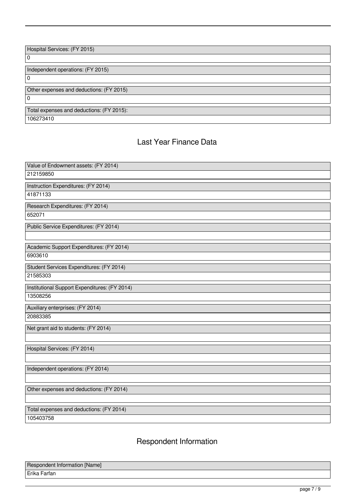| Hospital Services: (FY 2015)              |
|-------------------------------------------|
| l 0                                       |
|                                           |
| Independent operations: (FY 2015)         |
| l 0                                       |
|                                           |
| Other expenses and deductions: (FY 2015)  |
| l 0                                       |
|                                           |
| Total expenses and deductions: (FY 2015): |
| 106273410                                 |

## Last Year Finance Data

| Value of Endowment assets: (FY 2014)          |
|-----------------------------------------------|
| 212159850                                     |
| Instruction Expenditures: (FY 2014)           |
| 41871133                                      |
| Research Expenditures: (FY 2014)              |
| 652071                                        |
| Public Service Expenditures: (FY 2014)        |
|                                               |
| Academic Support Expenditures: (FY 2014)      |
| 6903610                                       |
| Student Services Expenditures: (FY 2014)      |
| 21585303                                      |
| Institutional Support Expenditures: (FY 2014) |
| 13508256                                      |
| Auxiliary enterprises: (FY 2014)              |
| 20883385                                      |
| Net grant aid to students: (FY 2014)          |
|                                               |
| Hospital Services: (FY 2014)                  |
|                                               |
| Independent operations: (FY 2014)             |
|                                               |
| Other expenses and deductions: (FY 2014)      |
|                                               |
| Total expenses and deductions: (FY 2014)      |
| 105403758                                     |

## Respondent Information

| Respondent Information [Name] |  |
|-------------------------------|--|
| Erika Farfan                  |  |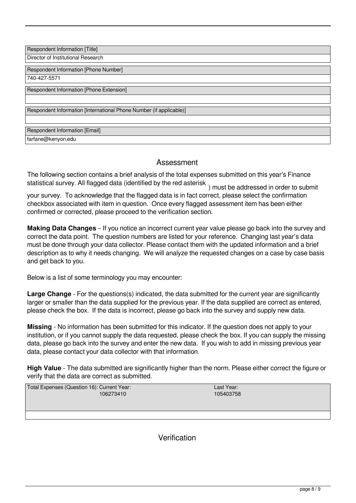Respondent Information [Title]

Director of Institutional Research

Respondent Information [Phone Number]

740-427-5571

Respondent Information [Phone Extension]

Respondent Information [International Phone Number (if applicable)]

Respondent Information [Email]

farfane@kenyon.edu

## Assessment

The following section contains a brief analysis of the total expenses submitted on this year's Finance statistical survey. All flagged data (identified by the red asterisk \* ) must be addressed in order to submit

your survey. To acknowledge that the flagged data is in fact correct, please select the confirmation checkbox associated with item in question. Once every flagged assessment item has been either confirmed or corrected, please proceed to the verification section.

**Making Data Changes** – If you notice an incorrect current year value please go back into the survey and correct the data point. The question numbers are listed for your reference. Changing last year's data must be done through your data collector. Please contact them with the updated information and a brief description as to why it needs changing. We will analyze the requested changes on a case by case basis and get back to you.

Below is a list of some terminology you may encounter:

**Large Change** - For the questions(s) indicated, the data submitted for the current year are significantly larger or smaller than the data supplied for the previous year. If the data supplied are correct as entered, please check the box. If the data is incorrect, please go back into the survey and supply new data.

**Missing** - No information has been submitted for this indicator. If the question does not apply to your institution, or if you cannot supply the data requested, please check the box. If you can supply the missing data, please go back into the survey and enter the new data. If you wish to add in missing previous year data, please contact your data collector with that information.

**High Value** - The data submitted are significantly higher than the norm. Please either correct the figure or verify that the data are correct as submitted.

| Total Expenses (Question 16): Current Year: | Last Year: |
|---------------------------------------------|------------|
| 106273410                                   | 10540375   |
|                                             |            |

105403758

Verification